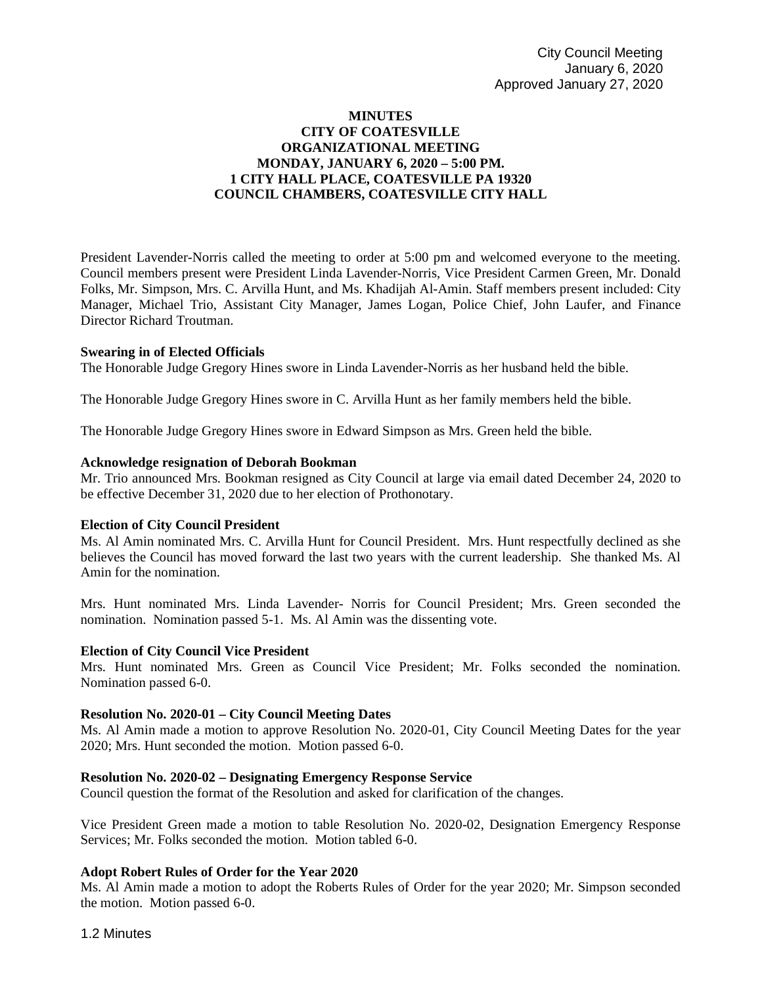# **MINUTES CITY OF COATESVILLE ORGANIZATIONAL MEETING MONDAY, JANUARY 6, 2020 – 5:00 PM. 1 CITY HALL PLACE, COATESVILLE PA 19320 COUNCIL CHAMBERS, COATESVILLE CITY HALL**

President Lavender-Norris called the meeting to order at 5:00 pm and welcomed everyone to the meeting. Council members present were President Linda Lavender-Norris, Vice President Carmen Green, Mr. Donald Folks, Mr. Simpson, Mrs. C. Arvilla Hunt, and Ms. Khadijah Al-Amin. Staff members present included: City Manager, Michael Trio, Assistant City Manager, James Logan, Police Chief, John Laufer, and Finance Director Richard Troutman.

## **Swearing in of Elected Officials**

The Honorable Judge Gregory Hines swore in Linda Lavender-Norris as her husband held the bible.

The Honorable Judge Gregory Hines swore in C. Arvilla Hunt as her family members held the bible.

The Honorable Judge Gregory Hines swore in Edward Simpson as Mrs. Green held the bible.

#### **Acknowledge resignation of Deborah Bookman**

Mr. Trio announced Mrs. Bookman resigned as City Council at large via email dated December 24, 2020 to be effective December 31, 2020 due to her election of Prothonotary.

# **Election of City Council President**

Ms. Al Amin nominated Mrs. C. Arvilla Hunt for Council President. Mrs. Hunt respectfully declined as she believes the Council has moved forward the last two years with the current leadership. She thanked Ms. Al Amin for the nomination.

Mrs. Hunt nominated Mrs. Linda Lavender- Norris for Council President; Mrs. Green seconded the nomination. Nomination passed 5-1. Ms. Al Amin was the dissenting vote.

#### **Election of City Council Vice President**

Mrs. Hunt nominated Mrs. Green as Council Vice President; Mr. Folks seconded the nomination. Nomination passed 6-0.

## **Resolution No. 2020-01 – City Council Meeting Dates**

Ms. Al Amin made a motion to approve Resolution No. 2020-01, City Council Meeting Dates for the year 2020; Mrs. Hunt seconded the motion. Motion passed 6-0.

#### **Resolution No. 2020-02 – Designating Emergency Response Service**

Council question the format of the Resolution and asked for clarification of the changes.

Vice President Green made a motion to table Resolution No. 2020-02, Designation Emergency Response Services; Mr. Folks seconded the motion. Motion tabled 6-0.

#### **Adopt Robert Rules of Order for the Year 2020**

Ms. Al Amin made a motion to adopt the Roberts Rules of Order for the year 2020; Mr. Simpson seconded the motion. Motion passed 6-0.

#### 1.2 Minutes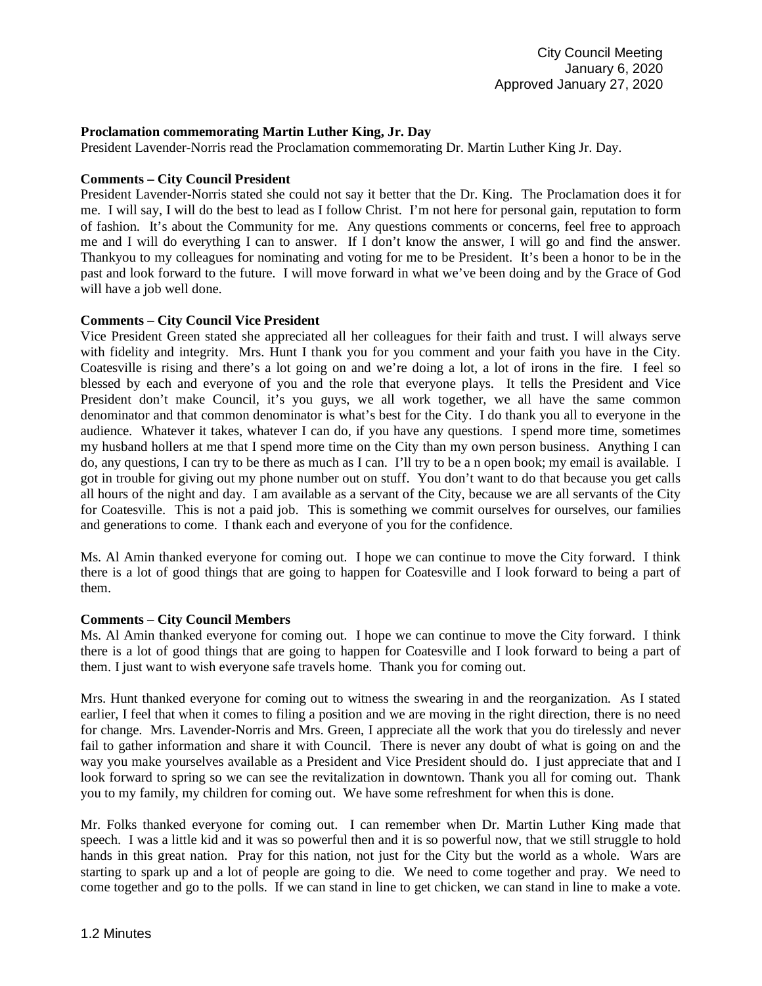## **Proclamation commemorating Martin Luther King, Jr. Day**

President Lavender-Norris read the Proclamation commemorating Dr. Martin Luther King Jr. Day.

## **Comments – City Council President**

President Lavender-Norris stated she could not say it better that the Dr. King. The Proclamation does it for me. I will say, I will do the best to lead as I follow Christ. I'm not here for personal gain, reputation to form of fashion. It's about the Community for me. Any questions comments or concerns, feel free to approach me and I will do everything I can to answer. If I don't know the answer, I will go and find the answer. Thankyou to my colleagues for nominating and voting for me to be President. It's been a honor to be in the past and look forward to the future. I will move forward in what we've been doing and by the Grace of God will have a job well done.

## **Comments – City Council Vice President**

Vice President Green stated she appreciated all her colleagues for their faith and trust. I will always serve with fidelity and integrity. Mrs. Hunt I thank you for you comment and your faith you have in the City. Coatesville is rising and there's a lot going on and we're doing a lot, a lot of irons in the fire. I feel so blessed by each and everyone of you and the role that everyone plays. It tells the President and Vice President don't make Council, it's you guys, we all work together, we all have the same common denominator and that common denominator is what's best for the City. I do thank you all to everyone in the audience. Whatever it takes, whatever I can do, if you have any questions. I spend more time, sometimes my husband hollers at me that I spend more time on the City than my own person business. Anything I can do, any questions, I can try to be there as much as I can. I'll try to be a n open book; my email is available. I got in trouble for giving out my phone number out on stuff. You don't want to do that because you get calls all hours of the night and day. I am available as a servant of the City, because we are all servants of the City for Coatesville. This is not a paid job. This is something we commit ourselves for ourselves, our families and generations to come. I thank each and everyone of you for the confidence.

Ms. Al Amin thanked everyone for coming out. I hope we can continue to move the City forward. I think there is a lot of good things that are going to happen for Coatesville and I look forward to being a part of them.

#### **Comments – City Council Members**

Ms. Al Amin thanked everyone for coming out. I hope we can continue to move the City forward. I think there is a lot of good things that are going to happen for Coatesville and I look forward to being a part of them. I just want to wish everyone safe travels home. Thank you for coming out.

Mrs. Hunt thanked everyone for coming out to witness the swearing in and the reorganization. As I stated earlier, I feel that when it comes to filing a position and we are moving in the right direction, there is no need for change. Mrs. Lavender-Norris and Mrs. Green, I appreciate all the work that you do tirelessly and never fail to gather information and share it with Council. There is never any doubt of what is going on and the way you make yourselves available as a President and Vice President should do. I just appreciate that and I look forward to spring so we can see the revitalization in downtown. Thank you all for coming out. Thank you to my family, my children for coming out. We have some refreshment for when this is done.

Mr. Folks thanked everyone for coming out. I can remember when Dr. Martin Luther King made that speech. I was a little kid and it was so powerful then and it is so powerful now, that we still struggle to hold hands in this great nation. Pray for this nation, not just for the City but the world as a whole. Wars are starting to spark up and a lot of people are going to die. We need to come together and pray. We need to come together and go to the polls. If we can stand in line to get chicken, we can stand in line to make a vote.